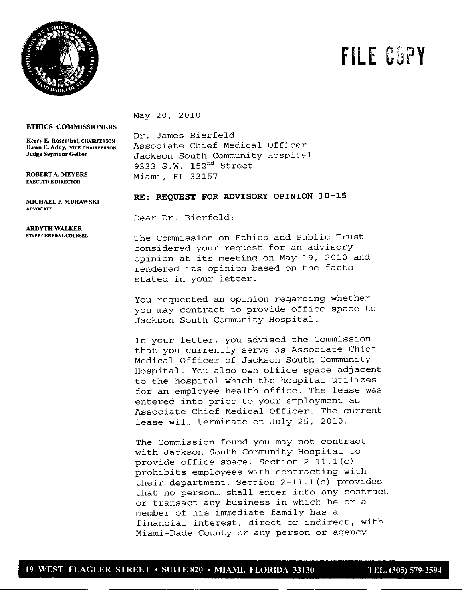

## FILE GUPY

May 20, 2010

**ETHICS COMMISSIONERS**

**EXECUTIVE DIRECTOR**

**ADVOCATE**

**ARDYTH WALKER**

 $K$ erry **E.** Rosenthal, CHAIRPERSON Dr. James Bierfeld **Dawn E. Addy, VICE CHAIRPERSON** Associate Chief Medical Officer<br>Judge Seymour Gelber **Mathematics** Jackson South Community Hospita Jackson South Community Hospital 9333 S.W. **152nd** Street ROBERTA.MEYERS Miami, FL 33157

## **MJCHAELP.MURAWSM RE: REQUEST FOR ADVISORY OPINION 10-15**

Dear Dr. Bierfeld:

**STAFEGENERALCOUNSEL** The Commission on Ethics and Public Trust considered your request for an advisory opinion at its meeting on May 19, 2010 and rendered its opinion based on the facts stated in your letter.

> You requested an opinion regarding whether you may contract to provide office space to Jackson South Community Hospital.

In your letter, you advised the Commission that you currently serve as Associate Chief Medical Officer of Jackson South Community Hospital. You also own office space adjacent to the hospital which the hospital utilizes for an employee health office. The lease was entered into prior to your employment as Associate Chief Medical Officer. The current lease will terminate on July 25, 2010.

The Commission found you may not contract with Jackson South Community Hospital to provide office space. Section  $2-11.1(c)$ prohibits employees with contracting with their department. Section  $2-11.1(c)$  provides that no person... shall enter into any contract or transact any business in which he or a member of his immediate family has a financial interest, direct or indirect, with Miami-Dade County or any person or agency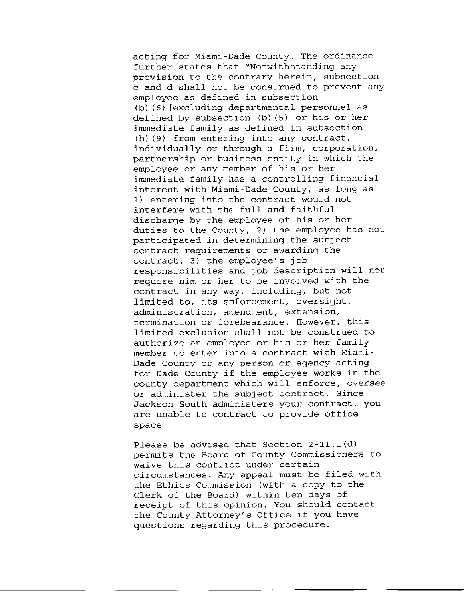acting for Miami-Dade County. The ordinance further states that "Notwithstanding any provision to the contrary herein, subsection c and d shall not be construed to prevent any employee as defined in subsection  $(b)$  (6) [excluding departmental personnel as defined by subsection  $(b)$   $(5)$  or his or her immediate family as defined in subsection  $(b)$  (9) from entering into any contract, individually or through a firm, corporation, partnership or business entity in which the employee or any member of his or her immediate family has a controlling financial interest with Miami-Dade County, as long as 1) entering into the contract would not interfere with the full and faithful discharge by the employee of his or her duties to the County,  $2)$  the employee has not participated in determining the subject contract requirements or awarding the contract, 3) the employee's job responsibilities and job description will not require him or her to be involved with the contract in any way, including, but not limited to, its enforcement, oversight, administration, amendment, extension, termination or forebearance. However, this limited exclusion shall not be construed to authorize an employee or his or her family member to enter into a contract with Miami-Dade County or any person or agency acting for Dade County if the employee works in the county department which will enforce, oversee or administer the subject contract. Since Jackson South administers your contract, you are unable to contract to provide office space.

Please be advised that Section  $2-11.1(d)$ permits the Board of County Commissioners to waive this conflict under certain circumstances. Any appeal must be filed with the Ethics Commission (with a copy to the Clerk of the Board) within ten days of receipt of this opinion. You should contact the County Attorney's Office if you have questions regarding this procedure.